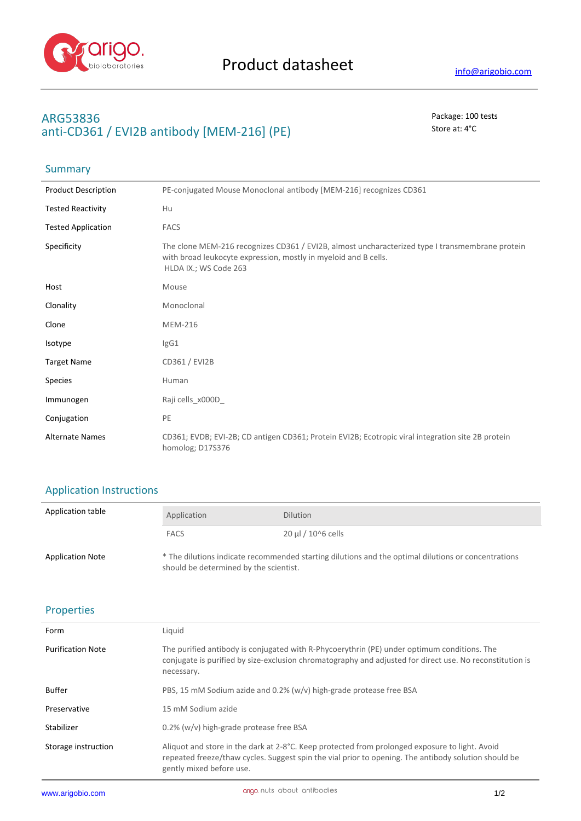

**Summary** 

## **ARG53836** Package: 100 tests anti-CD361 / EVI2B antibody [MEM-216] (PE) Store at: 4<sup>°</sup>C

| <b>Product Description</b> | PE-conjugated Mouse Monoclonal antibody [MEM-216] recognizes CD361                                                                                                                          |
|----------------------------|---------------------------------------------------------------------------------------------------------------------------------------------------------------------------------------------|
| <b>Tested Reactivity</b>   | Hu                                                                                                                                                                                          |
| <b>Tested Application</b>  | <b>FACS</b>                                                                                                                                                                                 |
| Specificity                | The clone MEM-216 recognizes CD361 / EVI2B, almost uncharacterized type I transmembrane protein<br>with broad leukocyte expression, mostly in myeloid and B cells.<br>HLDA IX.; WS Code 263 |
| Host                       | Mouse                                                                                                                                                                                       |
| Clonality                  | Monoclonal                                                                                                                                                                                  |
| Clone                      | <b>MEM-216</b>                                                                                                                                                                              |
| Isotype                    | lgG1                                                                                                                                                                                        |
| <b>Target Name</b>         | CD361 / EVI2B                                                                                                                                                                               |
| <b>Species</b>             | Human                                                                                                                                                                                       |
| Immunogen                  | Raji cells_x000D                                                                                                                                                                            |
| Conjugation                | PE                                                                                                                                                                                          |
| <b>Alternate Names</b>     | CD361; EVDB; EVI-2B; CD antigen CD361; Protein EVI2B; Ecotropic viral integration site 2B protein<br>homolog; D17S376                                                                       |

# Application Instructions

| Application table       | Application                                                                                                                                   | <b>Dilution</b>         |
|-------------------------|-----------------------------------------------------------------------------------------------------------------------------------------------|-------------------------|
|                         | <b>FACS</b>                                                                                                                                   | $20 \mu$ I / 10^6 cells |
| <b>Application Note</b> | * The dilutions indicate recommended starting dilutions and the optimal dilutions or concentrations<br>should be determined by the scientist. |                         |

#### Properties

| Form                     | Liquid                                                                                                                                                                                                                             |
|--------------------------|------------------------------------------------------------------------------------------------------------------------------------------------------------------------------------------------------------------------------------|
| <b>Purification Note</b> | The purified antibody is conjugated with R-Phycoerythrin (PE) under optimum conditions. The<br>conjugate is purified by size-exclusion chromatography and adjusted for direct use. No reconstitution is<br>necessary.              |
| <b>Buffer</b>            | PBS, 15 mM Sodium azide and 0.2% (w/v) high-grade protease free BSA                                                                                                                                                                |
| Preservative             | 15 mM Sodium azide                                                                                                                                                                                                                 |
| Stabilizer               | $0.2\%$ (w/v) high-grade protease free BSA                                                                                                                                                                                         |
| Storage instruction      | Aliquot and store in the dark at 2-8°C. Keep protected from prolonged exposure to light. Avoid<br>repeated freeze/thaw cycles. Suggest spin the vial prior to opening. The antibody solution should be<br>gently mixed before use. |